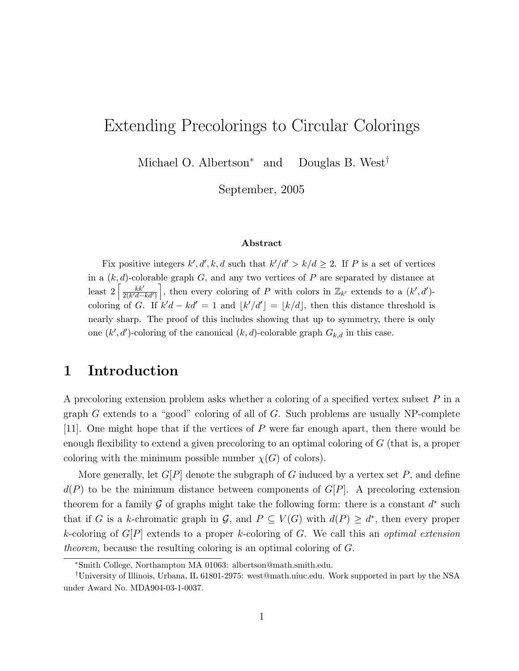# Extending Precolorings to Circular Colorings

Michael O. Albertson<sup>∗</sup> and Douglas B. West†

September, 2005

#### Abstract

Fix positive integers  $k', d', k, d$  such that  $k'/d' > k/d \geq 2$ . If P is a set of vertices in a  $(k, d)$ -colorable graph G, and any two vertices of P are separated by distance at least  $2\left[\frac{kk'}{2(k'd)}\right]$  $\frac{k k'}{2(k'd-kd')}$ , then every coloring of P with colors in  $\mathbb{Z}_{k'}$  extends to a  $(k', d')$ coloring of G. If  $k'd - kd' = 1$  and  $|k'/d'| = |k/d|$ , then this distance threshold is nearly sharp. The proof of this includes showing that up to symmetry, there is only one  $(k', d')$ -coloring of the canonical  $(k, d)$ -colorable graph  $G_{k,d}$  in this case.

# 1 Introduction

A precoloring extension problem asks whether a coloring of a specified vertex subset  $P$  in a graph G extends to a "good" coloring of all of G. Such problems are usually NP-complete  $[11]$ . One might hope that if the vertices of P were far enough apart, then there would be enough flexibility to extend a given precoloring to an optimal coloring of G (that is, a proper coloring with the minimum possible number  $\chi(G)$  of colors).

More generally, let  $G[P]$  denote the subgraph of G induced by a vertex set P, and define  $d(P)$  to be the minimum distance between components of  $G[P]$ . A precoloring extension theorem for a family G of graphs might take the following form: there is a constant  $d^*$  such that if G is a k-chromatic graph in  $\mathcal{G}$ , and  $P \subseteq V(G)$  with  $d(P) \geq d^*$ , then every proper k-coloring of  $G[P]$  extends to a proper k-coloring of G. We call this an *optimal extension* theorem, because the resulting coloring is an optimal coloring of G.

<sup>∗</sup>Smith College, Northampton MA 01063: albertson@math.smith.edu.

<sup>†</sup>University of Illinois, Urbana, IL 61801-2975: west@math.uiuc.edu. Work supported in part by the NSA under Award No. MDA904-03-1-0037.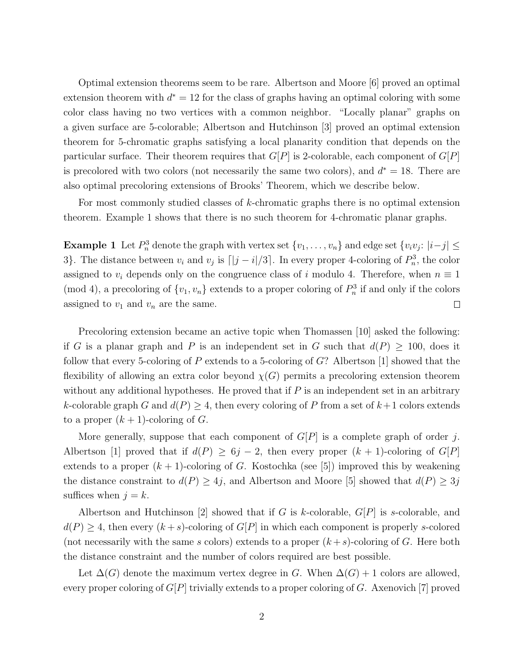Optimal extension theorems seem to be rare. Albertson and Moore [6] proved an optimal extension theorem with  $d^* = 12$  for the class of graphs having an optimal coloring with some color class having no two vertices with a common neighbor. "Locally planar" graphs on a given surface are 5-colorable; Albertson and Hutchinson [3] proved an optimal extension theorem for 5-chromatic graphs satisfying a local planarity condition that depends on the particular surface. Their theorem requires that  $G[P]$  is 2-colorable, each component of  $G[P]$ is precolored with two colors (not necessarily the same two colors), and  $d^* = 18$ . There are also optimal precoloring extensions of Brooks' Theorem, which we describe below.

For most commonly studied classes of k-chromatic graphs there is no optimal extension theorem. Example 1 shows that there is no such theorem for 4-chromatic planar graphs.

**Example 1** Let  $P_n^3$  denote the graph with vertex set  $\{v_1, \ldots, v_n\}$  and edge set  $\{v_i v_j : |i-j| \leq$ 3}. The distance between  $v_i$  and  $v_j$  is  $\lfloor |j - i|/3 \rfloor$ . In every proper 4-coloring of  $P_n^3$ , the color assigned to  $v_i$  depends only on the congruence class of i modulo 4. Therefore, when  $n \equiv 1$ (mod 4), a precoloring of  $\{v_1, v_n\}$  extends to a proper coloring of  $P_n^3$  if and only if the colors assigned to  $v_1$  and  $v_n$  are the same.  $\Box$ 

Precoloring extension became an active topic when Thomassen [10] asked the following: if G is a planar graph and P is an independent set in G such that  $d(P) > 100$ , does it follow that every 5-coloring of  $P$  extends to a 5-coloring of  $G$ ? Albertson [1] showed that the flexibility of allowing an extra color beyond  $\chi(G)$  permits a precoloring extension theorem without any additional hypotheses. He proved that if  $P$  is an independent set in an arbitrary k-colorable graph G and  $d(P) \geq 4$ , then every coloring of P from a set of  $k+1$  colors extends to a proper  $(k + 1)$ -coloring of G.

More generally, suppose that each component of  $G[P]$  is a complete graph of order j. Albertson [1] proved that if  $d(P) \geq 6j - 2$ , then every proper  $(k + 1)$ -coloring of  $G[P]$ extends to a proper  $(k + 1)$ -coloring of G. Kostochka (see [5]) improved this by weakening the distance constraint to  $d(P) \geq 4j$ , and Albertson and Moore [5] showed that  $d(P) \geq 3j$ suffices when  $j = k$ .

Albertson and Hutchinson [2] showed that if G is k-colorable,  $G[P]$  is s-colorable, and  $d(P) \geq 4$ , then every  $(k+s)$ -coloring of  $G[P]$  in which each component is properly s-colored (not necessarily with the same s colors) extends to a proper  $(k+s)$ -coloring of G. Here both the distance constraint and the number of colors required are best possible.

Let  $\Delta(G)$  denote the maximum vertex degree in G. When  $\Delta(G) + 1$  colors are allowed, every proper coloring of  $G[P]$  trivially extends to a proper coloring of G. Axenovich [7] proved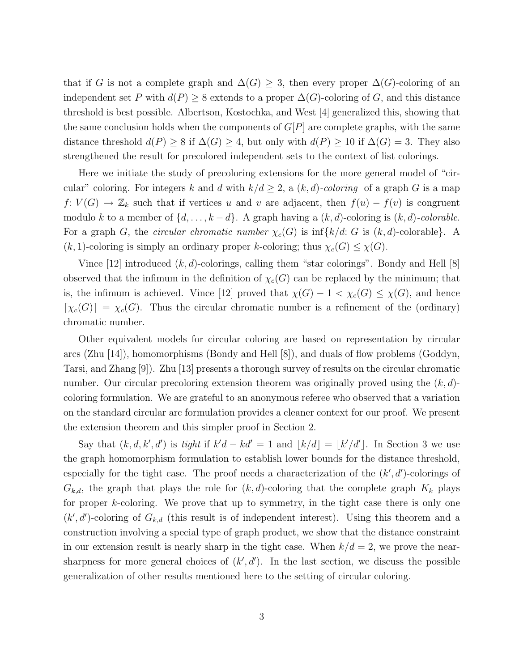that if G is not a complete graph and  $\Delta(G) \geq 3$ , then every proper  $\Delta(G)$ -coloring of an independent set P with  $d(P) \geq 8$  extends to a proper  $\Delta(G)$ -coloring of G, and this distance threshold is best possible. Albertson, Kostochka, and West [4] generalized this, showing that the same conclusion holds when the components of  $G[P]$  are complete graphs, with the same distance threshold  $d(P) \geq 8$  if  $\Delta(G) \geq 4$ , but only with  $d(P) \geq 10$  if  $\Delta(G) = 3$ . They also strengthened the result for precolored independent sets to the context of list colorings.

Here we initiate the study of precoloring extensions for the more general model of "circular" coloring. For integers k and d with  $k/d \geq 2$ , a  $(k, d)$ -coloring of a graph G is a map  $f: V(G) \to \mathbb{Z}_k$  such that if vertices u and v are adjacent, then  $f(u) - f(v)$  is congruent modulo k to a member of  $\{d, \ldots, k-d\}$ . A graph having a  $(k, d)$ -coloring is  $(k, d)$ -colorable. For a graph G, the *circular chromatic number*  $\chi_c(G)$  is inf $\{k/d: G$  is  $(k, d)$ -colorable}. A  $(k, 1)$ -coloring is simply an ordinary proper k-coloring; thus  $\chi_c(G) \leq \chi(G)$ .

Vince [12] introduced  $(k, d)$ -colorings, calling them "star colorings". Bondy and Hell [8] observed that the infimum in the definition of  $\chi_c(G)$  can be replaced by the minimum; that is, the infimum is achieved. Vince [12] proved that  $\chi(G) - 1 < \chi_c(G) \leq \chi(G)$ , and hence  $[\chi_c(G)] = \chi_c(G)$ . Thus the circular chromatic number is a refinement of the (ordinary) chromatic number.

Other equivalent models for circular coloring are based on representation by circular arcs (Zhu [14]), homomorphisms (Bondy and Hell [8]), and duals of flow problems (Goddyn, Tarsi, and Zhang [9]). Zhu [13] presents a thorough survey of results on the circular chromatic number. Our circular precoloring extension theorem was originally proved using the  $(k, d)$ coloring formulation. We are grateful to an anonymous referee who observed that a variation on the standard circular arc formulation provides a cleaner context for our proof. We present the extension theorem and this simpler proof in Section 2.

Say that  $(k, d, k', d')$  is tight if  $k'd - kd' = 1$  and  $\lfloor k/d \rfloor = \lfloor k'/d' \rfloor$ . In Section 3 we use the graph homomorphism formulation to establish lower bounds for the distance threshold, especially for the tight case. The proof needs a characterization of the  $(k', d')$ -colorings of  $G_{k,d}$ , the graph that plays the role for  $(k, d)$ -coloring that the complete graph  $K_k$  plays for proper k-coloring. We prove that up to symmetry, in the tight case there is only one  $(k', d')$ -coloring of  $G_{k,d}$  (this result is of independent interest). Using this theorem and a construction involving a special type of graph product, we show that the distance constraint in our extension result is nearly sharp in the tight case. When  $k/d = 2$ , we prove the nearsharpness for more general choices of  $(k', d')$ . In the last section, we discuss the possible generalization of other results mentioned here to the setting of circular coloring.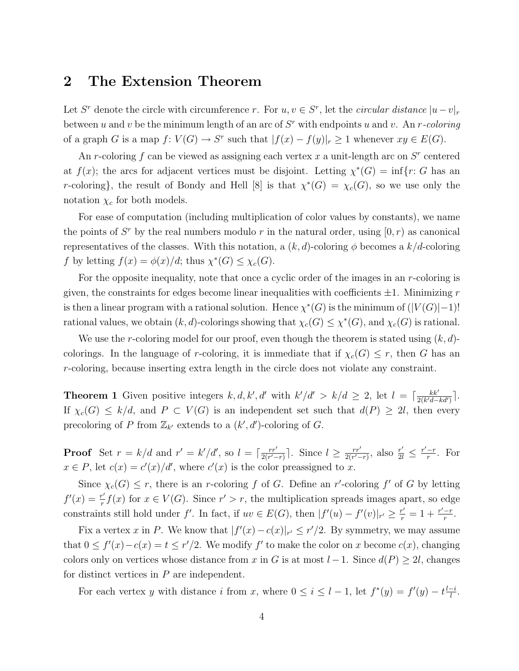### 2 The Extension Theorem

Let S<sup>r</sup> denote the circle with circumference r. For  $u, v \in S^r$ , let the *circular distance*  $|u - v|_r$ between u and v be the minimum length of an arc of  $S<sup>r</sup>$  with endpoints u and v. An r-coloring of a graph G is a map  $f: V(G) \to S^r$  such that  $|f(x) - f(y)|_r \geq 1$  whenever  $xy \in E(G)$ .

An r-coloring f can be viewed as assigning each vertex x a unit-length arc on  $S<sup>r</sup>$  centered at  $f(x)$ ; the arcs for adjacent vertices must be disjoint. Letting  $\chi^*(G) = \inf\{r: G \text{ has an }$ r-coloring}, the result of Bondy and Hell [8] is that  $\chi^*(G) = \chi_c(G)$ , so we use only the notation  $\chi_c$  for both models.

For ease of computation (including multiplication of color values by constants), we name the points of  $S<sup>r</sup>$  by the real numbers modulo r in the natural order, using  $[0, r)$  as canonical representatives of the classes. With this notation, a  $(k, d)$ -coloring  $\phi$  becomes a  $k/d$ -coloring f by letting  $f(x) = \phi(x)/d$ ; thus  $\chi^*(G) \leq \chi_c(G)$ .

For the opposite inequality, note that once a cyclic order of the images in an  $r$ -coloring is given, the constraints for edges become linear inequalities with coefficients  $\pm 1$ . Minimizing r is then a linear program with a rational solution. Hence  $\chi^*(G)$  is the minimum of  $(|V(G)|-1)!$ rational values, we obtain  $(k, d)$ -colorings showing that  $\chi_c(G) \leq \chi^*(G)$ , and  $\chi_c(G)$  is rational.

We use the r-coloring model for our proof, even though the theorem is stated using  $(k, d)$ colorings. In the language of r-coloring, it is immediate that if  $\chi_c(G) \leq r$ , then G has an r-coloring, because inserting extra length in the circle does not violate any constraint.

**Theorem 1** Given positive integers k, d, k', d' with  $k'/d' > k/d \ge 2$ , let  $l = \lceil \frac{kk'}{2(k/d - 1)} \rceil$  $\frac{kk'}{2(k'd-kd')}\rceil$ . If  $\chi_c(G) \leq k/d$ , and  $P \subset V(G)$  is an independent set such that  $d(P) \geq 2l$ , then every precoloring of P from  $\mathbb{Z}_{k'}$  extends to a  $(k', d')$ -coloring of G.

**Proof** Set  $r = k/d$  and  $r' = k'/d'$ , so  $l = \lceil \frac{rr'}{2(r')}\rceil$  $\frac{rr'}{2(r'-r)}$ ]. Since  $l \geq \frac{rr'}{2(r'-r)}$  $\frac{rr'}{2(r'-r)}$ , also  $\frac{r'}{2l} \leq \frac{r'-r}{r}$  $\frac{-r}{r}$ . For  $x \in P$ , let  $c(x) = c'(x)/d'$ , where  $c'(x)$  is the color preassigned to x.

Since  $\chi_c(G) \leq r$ , there is an r-coloring f of G. Define an r'-coloring f' of G by letting  $f'(x) = \frac{r'}{x}$  $\frac{r'}{r}f(x)$  for  $x \in V(G)$ . Since  $r' > r$ , the multiplication spreads images apart, so edge constraints still hold under f'. In fact, if  $uv \in E(G)$ , then  $|f'(u) - f'(v)|_{r'} \ge \frac{r'}{r} = 1 + \frac{r'-r}{r}$  $\frac{-r}{r}$ .

Fix a vertex x in P. We know that  $|f'(x) - c(x)|_{r'} \leq r'/2$ . By symmetry, we may assume that  $0 \le f'(x) - c(x) = t \le r'/2$ . We modify f' to make the color on x become  $c(x)$ , changing colors only on vertices whose distance from x in G is at most  $l-1$ . Since  $d(P) \geq 2l$ , changes for distinct vertices in  $P$  are independent.

For each vertex y with distance i from x, where  $0 \le i \le l-1$ , let  $f^*(y) = f'(y) - t \frac{l-i}{l}$  $\frac{-i}{l}$ .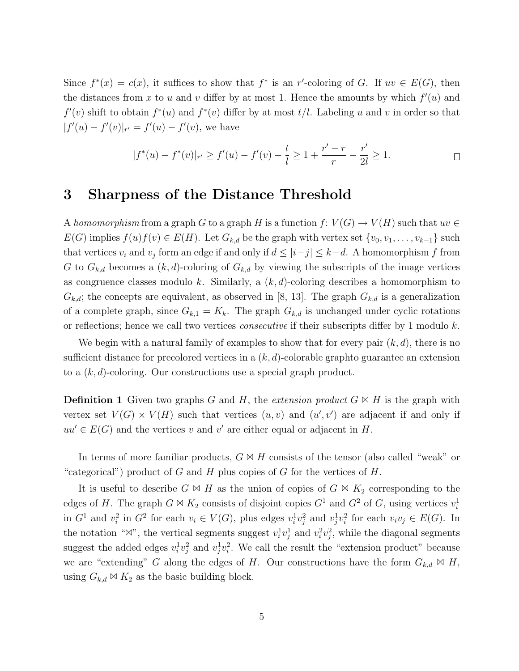Since  $f^*(x) = c(x)$ , it suffices to show that  $f^*$  is an r'-coloring of G. If  $uv \in E(G)$ , then the distances from x to u and v differ by at most 1. Hence the amounts by which  $f'(u)$  and  $f'(v)$  shift to obtain  $f^*(u)$  and  $f^*(v)$  differ by at most  $t/l$ . Labeling u and v in order so that  $|f'(u) - f'(v)|_{r'} = f'(u) - f'(v)$ , we have

$$
|f^*(u) - f^*(v)|_{r'} \ge f'(u) - f'(v) - \frac{t}{l} \ge 1 + \frac{r' - r}{r} - \frac{r'}{2l} \ge 1.
$$

#### 3 Sharpness of the Distance Threshold

A homomorphism from a graph G to a graph H is a function  $f: V(G) \to V(H)$  such that  $uv \in$  $E(G)$  implies  $f(u)f(v) \in E(H)$ . Let  $G_{k,d}$  be the graph with vertex set  $\{v_0, v_1, \ldots, v_{k-1}\}$  such that vertices  $v_i$  and  $v_j$  form an edge if and only if  $d \leq |i-j| \leq k-d$ . A homomorphism f from G to  $G_{k,d}$  becomes a  $(k,d)$ -coloring of  $G_{k,d}$  by viewing the subscripts of the image vertices as congruence classes modulo k. Similarly, a  $(k, d)$ -coloring describes a homomorphism to  $G_{k,d}$ ; the concepts are equivalent, as observed in [8, 13]. The graph  $G_{k,d}$  is a generalization of a complete graph, since  $G_{k,1} = K_k$ . The graph  $G_{k,d}$  is unchanged under cyclic rotations or reflections; hence we call two vertices *consecutive* if their subscripts differ by 1 modulo  $k$ .

We begin with a natural family of examples to show that for every pair  $(k, d)$ , there is no sufficient distance for precolored vertices in a  $(k, d)$ -colorable graphto guarantee an extension to a  $(k, d)$ -coloring. Our constructions use a special graph product.

**Definition 1** Given two graphs G and H, the extension product  $G \bowtie H$  is the graph with vertex set  $V(G) \times V(H)$  such that vertices  $(u, v)$  and  $(u', v')$  are adjacent if and only if  $uu' \in E(G)$  and the vertices v and v' are either equal or adjacent in H.

In terms of more familiar products,  $G \bowtie H$  consists of the tensor (also called "weak" or "categorical") product of G and H plus copies of G for the vertices of H.

It is useful to describe  $G \bowtie H$  as the union of copies of  $G \bowtie K_2$  corresponding to the edges of H. The graph  $G \bowtie K_2$  consists of disjoint copies  $G^1$  and  $G^2$  of G, using vertices  $v_i^1$ in  $G^1$  and  $v_i^2$  in  $G^2$  for each  $v_i \in V(G)$ , plus edges  $v_i^1v_j^2$  and  $v_j^1v_i^2$  for each  $v_iv_j \in E(G)$ . In the notation " $\mathbb{W}$ ", the vertical segments suggest  $v_i^1 v_j^1$  and  $v_i^2 v_j^2$ , while the diagonal segments suggest the added edges  $v_i^1 v_j^2$  and  $v_j^1 v_i^2$ . We call the result the "extension product" because we are "extending" G along the edges of H. Our constructions have the form  $G_{k,d} \bowtie H$ , using  $G_{k,d} \bowtie K_2$  as the basic building block.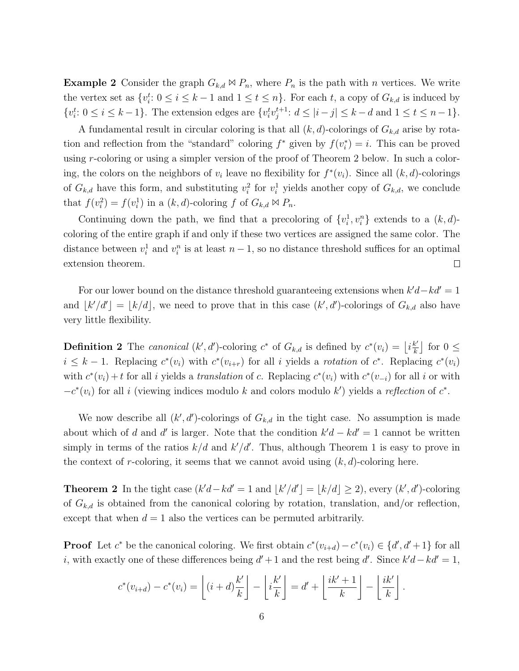**Example 2** Consider the graph  $G_{k,d} \bowtie P_n$ , where  $P_n$  is the path with n vertices. We write the vertex set as  $\{v_i^t: 0 \le i \le k-1 \text{ and } 1 \le t \le n\}$ . For each t, a copy of  $G_{k,d}$  is induced by  $\{v_i^t: 0 \le i \le k-1\}$ . The extension edges are  $\{v_i^t v_j^{t+1}\}$  $j^{t+1}: d \leq |i-j| \leq k-d$  and  $1 \leq t \leq n-1$ .

A fundamental result in circular coloring is that all  $(k, d)$ -colorings of  $G_{k,d}$  arise by rotation and reflection from the "standard" coloring  $f^*$  given by  $f(v_i^*)$  $i) = i$ . This can be proved using r-coloring or using a simpler version of the proof of Theorem 2 below. In such a coloring, the colors on the neighbors of  $v_i$  leave no flexibility for  $f^*(v_i)$ . Since all  $(k, d)$ -colorings of  $G_{k,d}$  have this form, and substituting  $v_i^2$  for  $v_i^1$  yields another copy of  $G_{k,d}$ , we conclude that  $f(v_i^2) = f(v_i^1)$  in a  $(k, d)$ -coloring f of  $G_{k,d} \bowtie P_n$ .

Continuing down the path, we find that a precoloring of  $\{v_i^1, v_i^n\}$  extends to a  $(k, d)$ coloring of the entire graph if and only if these two vertices are assigned the same color. The distance between  $v_i^1$  and  $v_i^n$  is at least  $n-1$ , so no distance threshold suffices for an optimal extension theorem.  $\Box$ 

For our lower bound on the distance threshold guaranteeing extensions when  $k'd - kd' = 1$ and  $\lfloor k'/d' \rfloor = \lfloor k/d \rfloor$ , we need to prove that in this case  $(k', d')$ -colorings of  $G_{k,d}$  also have very little flexibility.

**Definition 2** The *canonical*  $(k', d')$ -coloring  $c^*$  of  $G_{k,d}$  is defined by  $c^*(v_i) = |i\frac{k'}{k'}\rangle$  $\frac{k'}{k}$  for  $0 \leq$  $i \leq k-1$ . Replacing  $c^*(v_i)$  with  $c^*(v_{i+r})$  for all i yields a rotation of  $c^*$ . Replacing  $c^*(v_i)$ with  $c^*(v_i) + t$  for all i yields a *translation* of c. Replacing  $c^*(v_i)$  with  $c^*(v_{-i})$  for all i or with  $-c^*(v_i)$  for all i (viewing indices modulo k and colors modulo k') yields a reflection of  $c^*$ .

We now describe all  $(k', d')$ -colorings of  $G_{k,d}$  in the tight case. No assumption is made about which of d and d' is larger. Note that the condition  $k'd - kd' = 1$  cannot be written simply in terms of the ratios  $k/d$  and  $k'/d'$ . Thus, although Theorem 1 is easy to prove in the context of r-coloring, it seems that we cannot avoid using  $(k, d)$ -coloring here.

**Theorem 2** In the tight case  $(k'd - kd' = 1$  and  $\lfloor k'/d' \rfloor = \lfloor k/d \rfloor \ge 2$ , every  $(k', d')$ -coloring of  $G_{k,d}$  is obtained from the canonical coloring by rotation, translation, and/or reflection, except that when  $d = 1$  also the vertices can be permuted arbitrarily.

**Proof** Let  $c^*$  be the canonical coloring. We first obtain  $c^*(v_{i+d}) - c^*(v_i) \in \{d', d' + 1\}$  for all i, with exactly one of these differences being  $d' + 1$  and the rest being d'. Since  $k'd - kd' = 1$ ,

$$
c^*(v_{i+d}) - c^*(v_i) = \left\lfloor (i+d)\frac{k'}{k} \right\rfloor - \left\lfloor i\frac{k'}{k} \right\rfloor = d' + \left\lfloor \frac{ik'+1}{k} \right\rfloor - \left\lfloor \frac{ik'}{k} \right\rfloor.
$$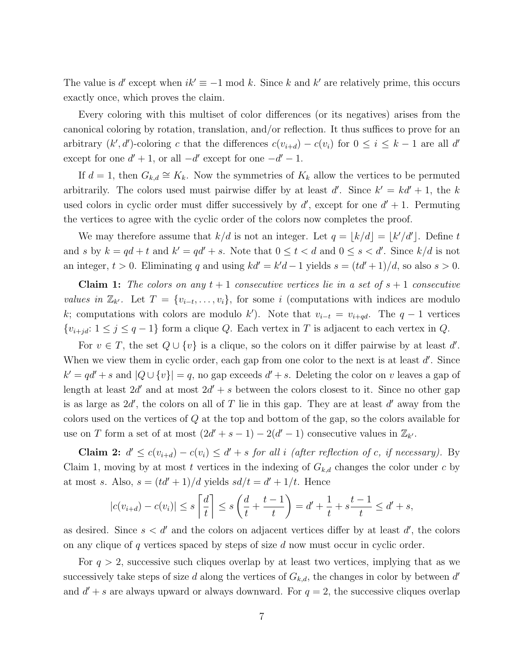The value is d'except when  $ik' \equiv -1 \mod k$ . Since k and k' are relatively prime, this occurs exactly once, which proves the claim.

Every coloring with this multiset of color differences (or its negatives) arises from the canonical coloring by rotation, translation, and/or reflection. It thus suffices to prove for an arbitrary  $(k', d')$ -coloring c that the differences  $c(v_{i+d}) - c(v_i)$  for  $0 \le i \le k-1$  are all d' except for one  $d' + 1$ , or all  $-d'$  except for one  $-d' - 1$ .

If  $d = 1$ , then  $G_{k,d} \cong K_k$ . Now the symmetries of  $K_k$  allow the vertices to be permuted arbitrarily. The colors used must pairwise differ by at least d'. Since  $k' = kd' + 1$ , the k used colors in cyclic order must differ successively by  $d'$ , except for one  $d' + 1$ . Permuting the vertices to agree with the cyclic order of the colors now completes the proof.

We may therefore assume that  $k/d$  is not an integer. Let  $q = \lfloor k/d \rfloor = \lfloor k'/d' \rfloor$ . Define t and s by  $k = qd + t$  and  $k' = qd' + s$ . Note that  $0 \le t < d$  and  $0 \le s < d'$ . Since  $k/d$  is not an integer,  $t > 0$ . Eliminating q and using  $kd' = k'd - 1$  yields  $s = (td' + 1)/d$ , so also  $s > 0$ .

**Claim 1:** The colors on any  $t + 1$  consecutive vertices lie in a set of  $s + 1$  consecutive values in  $\mathbb{Z}_{k'}$ . Let  $T = \{v_{i-t}, \ldots, v_i\}$ , for some i (computations with indices are modulo k; computations with colors are modulo k'). Note that  $v_{i-t} = v_{i+qd}$ . The  $q-1$  vertices  $\{v_{i+jd}: 1 \leq j \leq q-1\}$  form a clique Q. Each vertex in T is adjacent to each vertex in Q.

For  $v \in T$ , the set  $Q \cup \{v\}$  is a clique, so the colors on it differ pairwise by at least d'. When we view them in cyclic order, each gap from one color to the next is at least  $d'$ . Since  $k' = qd' + s$  and  $|Q \cup \{v\}| = q$ , no gap exceeds  $d' + s$ . Deleting the color on v leaves a gap of length at least  $2d'$  and at most  $2d' + s$  between the colors closest to it. Since no other gap is as large as  $2d'$ , the colors on all of T lie in this gap. They are at least  $d'$  away from the colors used on the vertices of Q at the top and bottom of the gap, so the colors available for use on T form a set of at most  $(2d' + s - 1) - 2(d' - 1)$  consecutive values in  $\mathbb{Z}_{k'}$ .

**Claim 2:**  $d' \leq c(v_{i+d}) - c(v_i) \leq d' + s$  for all i (after reflection of c, if necessary). By Claim 1, moving by at most t vertices in the indexing of  $G_{k,d}$  changes the color under c by at most s. Also,  $s = (td' + 1)/d$  yields  $sd/t = d' + 1/t$ . Hence

$$
|c(v_{i+d}) - c(v_i)| \le s \left\lceil \frac{d}{t} \right\rceil \le s \left( \frac{d}{t} + \frac{t-1}{t} \right) = d' + \frac{1}{t} + s \frac{t-1}{t} \le d' + s,
$$

as desired. Since  $s < d'$  and the colors on adjacent vertices differ by at least  $d'$ , the colors on any clique of q vertices spaced by steps of size d now must occur in cyclic order.

For  $q > 2$ , successive such cliques overlap by at least two vertices, implying that as we successively take steps of size d along the vertices of  $G_{k,d}$ , the changes in color by between d' and  $d' + s$  are always upward or always downward. For  $q = 2$ , the successive cliques overlap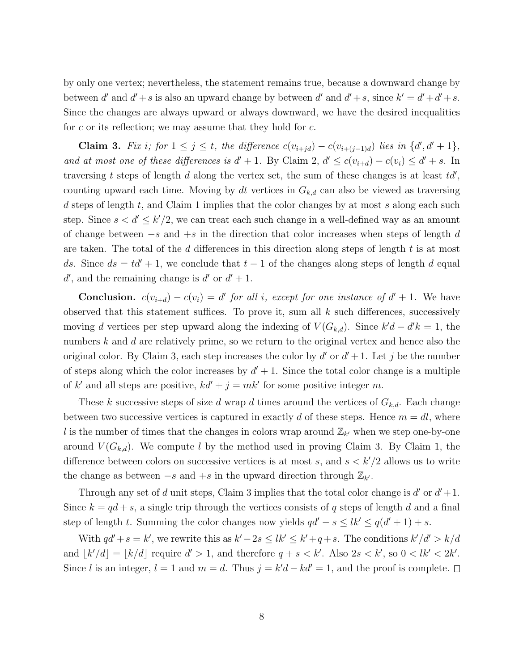by only one vertex; nevertheless, the statement remains true, because a downward change by between d' and  $d' + s$  is also an upward change by between d' and  $d' + s$ , since  $k' = d' + d' + s$ . Since the changes are always upward or always downward, we have the desired inequalities for c or its reflection; we may assume that they hold for  $c$ .

Claim 3. Fix i; for  $1 \leq j \leq t$ , the difference  $c(v_{i+jd}) - c(v_{i+(j-1)d})$  lies in  $\{d', d' + 1\}$ , and at most one of these differences is  $d' + 1$ . By Claim 2,  $d' \leq c(v_{i+d}) - c(v_i) \leq d' + s$ . In traversing t steps of length d along the vertex set, the sum of these changes is at least  $td'$ , counting upward each time. Moving by dt vertices in  $G_{k,d}$  can also be viewed as traversing d steps of length  $t$ , and Claim 1 implies that the color changes by at most  $s$  along each such step. Since  $s < d' \leq k'/2$ , we can treat each such change in a well-defined way as an amount of change between  $-s$  and  $+s$  in the direction that color increases when steps of length d are taken. The total of the d differences in this direction along steps of length  $t$  is at most ds. Since  $ds = td' + 1$ , we conclude that  $t - 1$  of the changes along steps of length d equal d', and the remaining change is  $d'$  or  $d' + 1$ .

**Conclusion.**  $c(v_{i+d}) - c(v_i) = d'$  for all i, except for one instance of  $d' + 1$ . We have observed that this statement suffices. To prove it, sum all  $k$  such differences, successively moving d vertices per step upward along the indexing of  $V(G_{k,d})$ . Since  $k'd - d'k = 1$ , the numbers k and d are relatively prime, so we return to the original vertex and hence also the original color. By Claim 3, each step increases the color by  $d'$  or  $d' + 1$ . Let j be the number of steps along which the color increases by  $d' + 1$ . Since the total color change is a multiple of k' and all steps are positive,  $kd' + j = mk'$  for some positive integer m.

These k successive steps of size d wrap d times around the vertices of  $G_{k,d}$ . Each change between two successive vertices is captured in exactly d of these steps. Hence  $m = dl$ , where l is the number of times that the changes in colors wrap around  $\mathbb{Z}_{k'}$  when we step one-by-one around  $V(G_{k,d})$ . We compute l by the method used in proving Claim 3. By Claim 1, the difference between colors on successive vertices is at most s, and  $s < k'/2$  allows us to write the change as between  $-s$  and  $+s$  in the upward direction through  $\mathbb{Z}_{k'}$ .

Through any set of d unit steps, Claim 3 implies that the total color change is  $d'$  or  $d'+1$ . Since  $k = qd + s$ , a single trip through the vertices consists of q steps of length d and a final step of length t. Summing the color changes now yields  $qd' - s \leq lk' \leq q(d'+1) + s$ .

With  $qd' + s = k'$ , we rewrite this as  $k' - 2s \leq lk' \leq k' + q + s$ . The conditions  $k'/d' > k/d$ and  $|k'/d| = |k/d|$  require  $d' > 1$ , and therefore  $q + s < k'$ . Also  $2s < k'$ , so  $0 < lk' < 2k'$ . Since l is an integer,  $l = 1$  and  $m = d$ . Thus  $j = k'd - kd' = 1$ , and the proof is complete.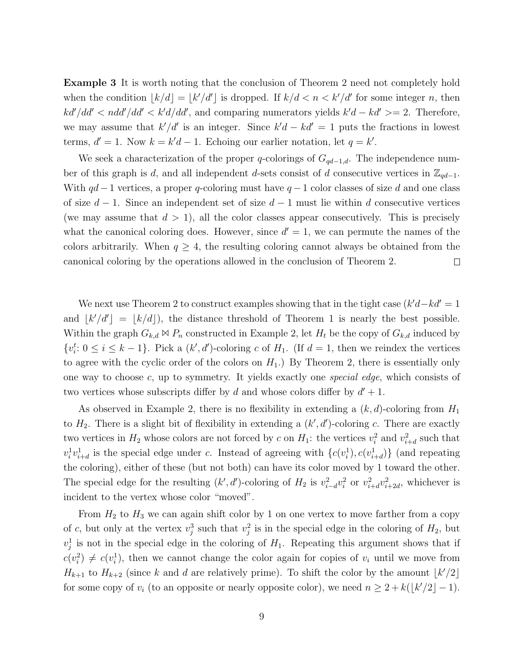Example 3 It is worth noting that the conclusion of Theorem 2 need not completely hold when the condition  $|k/d| = |k'/d'|$  is dropped. If  $k/d < n < k'/d'$  for some integer n, then  $kd'/dd' < ndd'/dd' < k'd/dd'$ , and comparing numerators yields  $k'd - kd' \geq 2$ . Therefore, we may assume that  $k'/d'$  is an integer. Since  $k'd - kd' = 1$  puts the fractions in lowest terms,  $d' = 1$ . Now  $k = k'd - 1$ . Echoing our earlier notation, let  $q = k'$ .

We seek a characterization of the proper q-colorings of  $G_{qd-1,d}$ . The independence number of this graph is d, and all independent d-sets consist of d consecutive vertices in  $\mathbb{Z}_{qd-1}$ . With  $qd-1$  vertices, a proper q-coloring must have  $q-1$  color classes of size d and one class of size  $d-1$ . Since an independent set of size  $d-1$  must lie within d consecutive vertices (we may assume that  $d > 1$ ), all the color classes appear consecutively. This is precisely what the canonical coloring does. However, since  $d' = 1$ , we can permute the names of the colors arbitrarily. When  $q \geq 4$ , the resulting coloring cannot always be obtained from the canonical coloring by the operations allowed in the conclusion of Theorem 2.  $\Box$ 

We next use Theorem 2 to construct examples showing that in the tight case  $(k'd - kd' = 1$ and  $|k'/d'| = |k/d|$ , the distance threshold of Theorem 1 is nearly the best possible. Within the graph  $G_{k,d} \bowtie P_n$  constructed in Example 2, let  $H_t$  be the copy of  $G_{k,d}$  induced by  $\{v_i^t: 0 \le i \le k-1\}$ . Pick a  $(k', d')$ -coloring c of  $H_1$ . (If  $d = 1$ , then we reindex the vertices to agree with the cyclic order of the colors on  $H_1$ .) By Theorem 2, there is essentially only one way to choose c, up to symmetry. It yields exactly one special edge, which consists of two vertices whose subscripts differ by  $d$  and whose colors differ by  $d' + 1$ .

As observed in Example 2, there is no flexibility in extending a  $(k, d)$ -coloring from  $H_1$ to  $H_2$ . There is a slight bit of flexibility in extending a  $(k', d')$ -coloring c. There are exactly two vertices in  $H_2$  whose colors are not forced by c on  $H_1$ : the vertices  $v_i^2$  and  $v_{i+d}^2$  such that  $v_i^1v_{i+d}^1$  is the special edge under c. Instead of agreeing with  $\{c(v_i^1), c(v_{i+d}^1)\}\$  (and repeating the coloring), either of these (but not both) can have its color moved by 1 toward the other. The special edge for the resulting  $(k', d')$ -coloring of  $H_2$  is  $v_{i-d}^2 v_i^2$  or  $v_{i+d}^2 v_{i+2d}^2$ , whichever is incident to the vertex whose color "moved".

From  $H_2$  to  $H_3$  we can again shift color by 1 on one vertex to move farther from a copy of c, but only at the vertex  $v_j^3$  such that  $v_j^2$  is in the special edge in the coloring of  $H_2$ , but  $v_j^1$  is not in the special edge in the coloring of  $H_1$ . Repeating this argument shows that if  $c(v_i^2) \neq c(v_i^1)$ , then we cannot change the color again for copies of  $v_i$  until we move from  $H_{k+1}$  to  $H_{k+2}$  (since k and d are relatively prime). To shift the color by the amount  $\lfloor k'/2 \rfloor$ for some copy of  $v_i$  (to an opposite or nearly opposite color), we need  $n \geq 2 + k(\lfloor k'/2 \rfloor - 1)$ .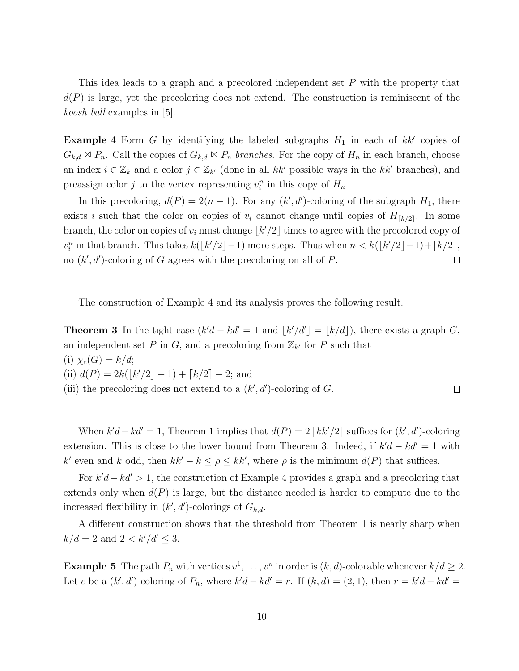This idea leads to a graph and a precolored independent set P with the property that  $d(P)$  is large, yet the precoloring does not extend. The construction is reminiscent of the koosh ball examples in [5].

**Example 4** Form G by identifying the labeled subgraphs  $H_1$  in each of  $kk'$  copies of  $G_{k,d} \bowtie P_n$ . Call the copies of  $G_{k,d} \bowtie P_n$  branches. For the copy of  $H_n$  in each branch, choose an index  $i \in \mathbb{Z}_k$  and a color  $j \in \mathbb{Z}_{k'}$  (done in all kk' possible ways in the kk' branches), and preassign color j to the vertex representing  $v_i^n$  in this copy of  $H_n$ .

In this precoloring,  $d(P) = 2(n-1)$ . For any  $(k', d')$ -coloring of the subgraph  $H_1$ , there exists i such that the color on copies of  $v_i$  cannot change until copies of  $H_{\lceil k/2 \rceil}$ . In some branch, the color on copies of  $v_i$  must change  $\lfloor k'/2 \rfloor$  times to agree with the precolored copy of  $v_i^n$  in that branch. This takes  $k(\lfloor k'/2 \rfloor - 1)$  more steps. Thus when  $n < k(\lfloor k'/2 \rfloor - 1) + \lceil k/2 \rceil$ , no  $(k', d')$ -coloring of G agrees with the precoloring on all of P.  $\Box$ 

The construction of Example 4 and its analysis proves the following result.

**Theorem 3** In the tight case  $(k'd - kd' = 1$  and  $|k'/d'| = |k/d|$ , there exists a graph G, an independent set P in G, and a precoloring from  $\mathbb{Z}_{k'}$  for P such that (i)  $\chi_c(G) = k/d;$ (ii)  $d(P) = 2k(\lfloor k'/2 \rfloor - 1) + \lfloor k/2 \rfloor - 2$ ; and (iii) the precoloring does not extend to a  $(k', d')$ -coloring of G.  $\Box$ 

When  $k'd - kd' = 1$ , Theorem 1 implies that  $d(P) = 2 \lceil kk'/2 \rceil$  suffices for  $(k', d')$ -coloring extension. This is close to the lower bound from Theorem 3. Indeed, if  $k'd - kd' = 1$  with k' even and k odd, then  $kk' - k \leq \rho \leq kk'$ , where  $\rho$  is the minimum  $d(P)$  that suffices.

For  $k'd - kd' > 1$ , the construction of Example 4 provides a graph and a precoloring that extends only when  $d(P)$  is large, but the distance needed is harder to compute due to the increased flexibility in  $(k', d')$ -colorings of  $G_{k,d}$ .

A different construction shows that the threshold from Theorem 1 is nearly sharp when  $k/d = 2$  and  $2 < k'/d' \leq 3$ .

**Example 5** The path  $P_n$  with vertices  $v^1, \ldots, v^n$  in order is  $(k, d)$ -colorable whenever  $k/d \geq 2$ . Let c be a  $(k', d')$ -coloring of  $P_n$ , where  $k'd - kd' = r$ . If  $(k, d) = (2, 1)$ , then  $r = k'd - kd' =$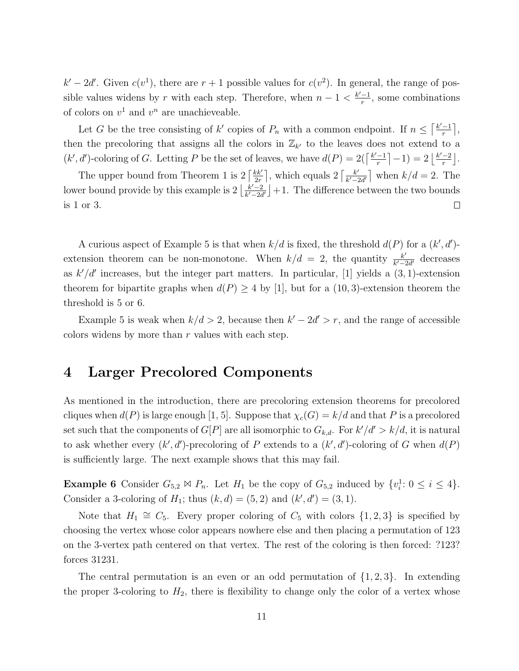$k'-2d'$ . Given  $c(v^1)$ , there are  $r+1$  possible values for  $c(v^2)$ . In general, the range of possible values widens by r with each step. Therefore, when  $n-1 < \frac{k'-1}{r}$  $\frac{-1}{r}$ , some combinations of colors on  $v^1$  and  $v^n$  are unachieveable.

Let G be the tree consisting of k' copies of  $P_n$  with a common endpoint. If  $n \leq \lceil \frac{k'-1}{r} \rceil$  $\frac{-1}{r}$ , then the precoloring that assigns all the colors in  $\mathbb{Z}_{k'}$  to the leaves does not extend to a  $(k', d')$ -coloring of G. Letting P be the set of leaves, we have  $d(P) = 2\left(\frac{k'-1}{r}\right)$  $\frac{-1}{r}$ |-1) =  $2\left\lfloor \frac{k'-2}{r} \right\rfloor$  $\frac{-2}{r}$ .

The upper bound from Theorem 1 is  $2 \left[\frac{kk'}{2r}\right]$  $\frac{k k'}{2r}$ , which equals  $2\left[\frac{k'}{k'-2}\right]$  $\frac{k'}{k'-2d'}$  when  $k/d=2$ . The lower bound provide by this example is  $2\left|\frac{k'-2}{k'-2}\right|$  $\frac{k'-2}{k'-2d'}$  +1. The difference between the two bounds is 1 or 3.  $\Box$ 

A curious aspect of Example 5 is that when  $k/d$  is fixed, the threshold  $d(P)$  for a  $(k', d')$ extension theorem can be non-monotone. When  $k/d = 2$ , the quantity  $\frac{k'}{k'-k'}$  $\frac{k'}{k'-2d'}$  decreases as  $k'/d'$  increases, but the integer part matters. In particular, [1] yields a  $(3, 1)$ -extension theorem for bipartite graphs when  $d(P) \geq 4$  by [1], but for a (10,3)-extension theorem the threshold is 5 or 6.

Example 5 is weak when  $k/d > 2$ , because then  $k' - 2d' > r$ , and the range of accessible colors widens by more than  $r$  values with each step.

### 4 Larger Precolored Components

As mentioned in the introduction, there are precoloring extension theorems for precolored cliques when  $d(P)$  is large enough [1, 5]. Suppose that  $\chi_c(G) = k/d$  and that P is a precolored set such that the components of  $G[P]$  are all isomorphic to  $G_{k,d}$ . For  $k'/d' > k/d$ , it is natural to ask whether every  $(k', d')$ -precoloring of P extends to a  $(k', d')$ -coloring of G when  $d(P)$ is sufficiently large. The next example shows that this may fail.

**Example 6** Consider  $G_{5,2} \bowtie P_n$ . Let  $H_1$  be the copy of  $G_{5,2}$  induced by  $\{v_i^1 : 0 \le i \le 4\}$ . Consider a 3-coloring of  $H_1$ ; thus  $(k, d) = (5, 2)$  and  $(k', d') = (3, 1)$ .

Note that  $H_1 \cong C_5$ . Every proper coloring of  $C_5$  with colors  $\{1, 2, 3\}$  is specified by choosing the vertex whose color appears nowhere else and then placing a permutation of 123 on the 3-vertex path centered on that vertex. The rest of the coloring is then forced: ?123? forces 31231.

The central permutation is an even or an odd permutation of  $\{1,2,3\}$ . In extending the proper 3-coloring to  $H_2$ , there is flexibility to change only the color of a vertex whose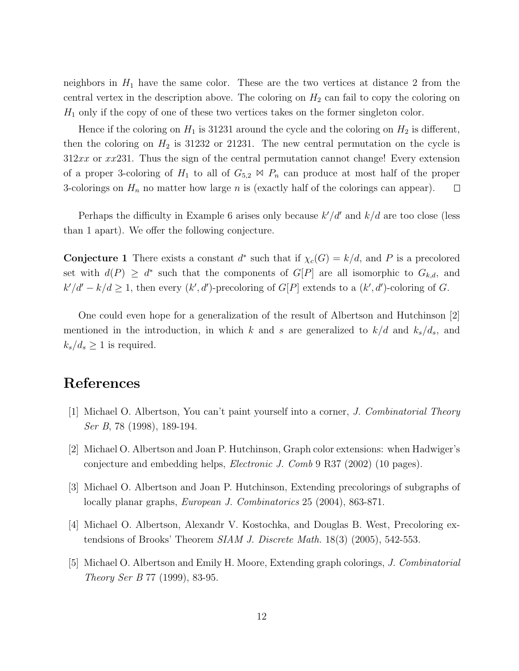neighbors in  $H_1$  have the same color. These are the two vertices at distance 2 from the central vertex in the description above. The coloring on  $H_2$  can fail to copy the coloring on  $H_1$  only if the copy of one of these two vertices takes on the former singleton color.

Hence if the coloring on  $H_1$  is 31231 around the cycle and the coloring on  $H_2$  is different, then the coloring on  $H_2$  is 31232 or 21231. The new central permutation on the cycle is  $312xx$  or  $xx231$ . Thus the sign of the central permutation cannot change! Every extension of a proper 3-coloring of  $H_1$  to all of  $G_{5,2} \bowtie P_n$  can produce at most half of the proper 3-colorings on  $H_n$  no matter how large n is (exactly half of the colorings can appear).  $\Box$ 

Perhaps the difficulty in Example 6 arises only because  $k'/d'$  and  $k/d$  are too close (less than 1 apart). We offer the following conjecture.

**Conjecture 1** There exists a constant  $d^*$  such that if  $\chi_c(G) = k/d$ , and P is a precolored set with  $d(P) \geq d^*$  such that the components of  $G[P]$  are all isomorphic to  $G_{k,d}$ , and  $k'/d' - k/d \geq 1$ , then every  $(k', d')$ -precoloring of  $G[P]$  extends to a  $(k', d')$ -coloring of G.

One could even hope for a generalization of the result of Albertson and Hutchinson [2] mentioned in the introduction, in which k and s are generalized to  $k/d$  and  $k_s/d_s$ , and  $k_s/d_s \geq 1$  is required.

## References

- [1] Michael O. Albertson, You can't paint yourself into a corner, J. Combinatorial Theory Ser B, 78 (1998), 189-194.
- [2] Michael O. Albertson and Joan P. Hutchinson, Graph color extensions: when Hadwiger's conjecture and embedding helps, Electronic J. Comb 9 R37 (2002) (10 pages).
- [3] Michael O. Albertson and Joan P. Hutchinson, Extending precolorings of subgraphs of locally planar graphs, European J. Combinatorics 25 (2004), 863-871.
- [4] Michael O. Albertson, Alexandr V. Kostochka, and Douglas B. West, Precoloring extendsions of Brooks' Theorem SIAM J. Discrete Math. 18(3) (2005), 542-553.
- [5] Michael O. Albertson and Emily H. Moore, Extending graph colorings, J. Combinatorial Theory Ser B 77 (1999), 83-95.